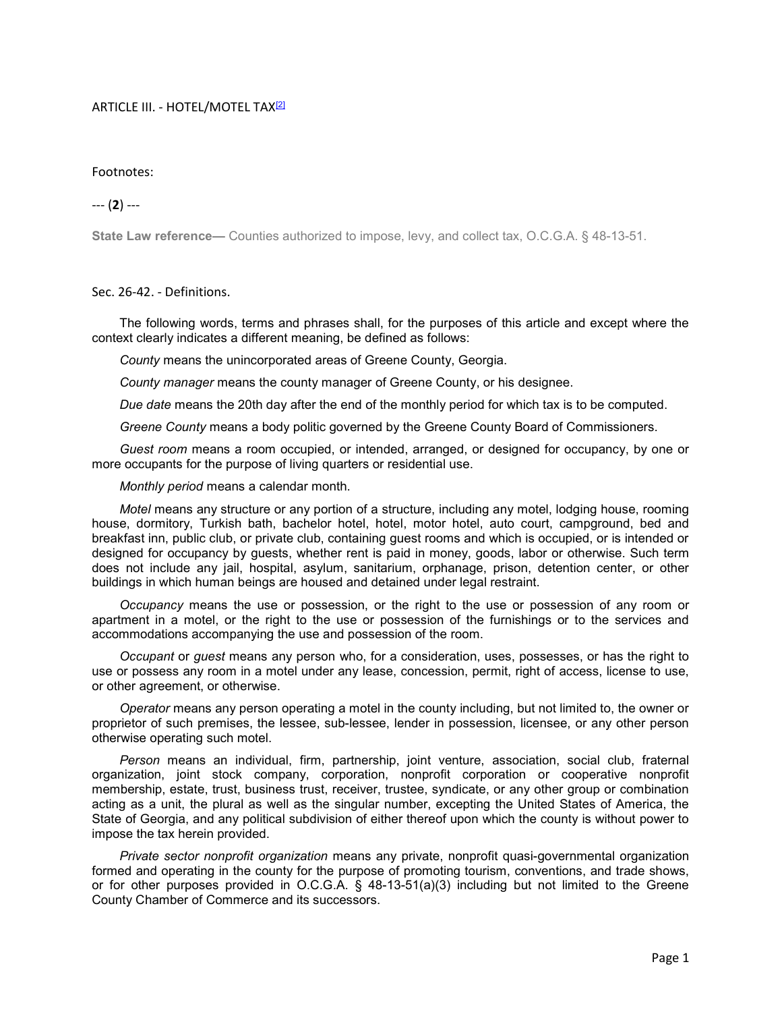## ARTICLE III. - HOTEL/MOTEL TAX<sup>[2]</sup>

## Footnotes:

## --- (2) ---

State Law reference— Counties authorized to impose, levy, and collect tax, O.C.G.A. § 48-13-51.

## Sec. 26-42. - Definitions.

The following words, terms and phrases shall, for the purposes of this article and except where the context clearly indicates a different meaning, be defined as follows:

County means the unincorporated areas of Greene County, Georgia.

County manager means the county manager of Greene County, or his designee.

Due date means the 20th day after the end of the monthly period for which tax is to be computed.

Greene County means a body politic governed by the Greene County Board of Commissioners.

Guest room means a room occupied, or intended, arranged, or designed for occupancy, by one or more occupants for the purpose of living quarters or residential use.

Monthly period means a calendar month.

Motel means any structure or any portion of a structure, including any motel, lodging house, rooming house, dormitory, Turkish bath, bachelor hotel, hotel, motor hotel, auto court, campground, bed and breakfast inn, public club, or private club, containing guest rooms and which is occupied, or is intended or designed for occupancy by guests, whether rent is paid in money, goods, labor or otherwise. Such term does not include any jail, hospital, asylum, sanitarium, orphanage, prison, detention center, or other buildings in which human beings are housed and detained under legal restraint.

Occupancy means the use or possession, or the right to the use or possession of any room or apartment in a motel, or the right to the use or possession of the furnishings or to the services and accommodations accompanying the use and possession of the room.

Occupant or guest means any person who, for a consideration, uses, possesses, or has the right to use or possess any room in a motel under any lease, concession, permit, right of access, license to use, or other agreement, or otherwise.

Operator means any person operating a motel in the county including, but not limited to, the owner or proprietor of such premises, the lessee, sub-lessee, lender in possession, licensee, or any other person otherwise operating such motel.

Person means an individual, firm, partnership, joint venture, association, social club, fraternal organization, joint stock company, corporation, nonprofit corporation or cooperative nonprofit membership, estate, trust, business trust, receiver, trustee, syndicate, or any other group or combination acting as a unit, the plural as well as the singular number, excepting the United States of America, the State of Georgia, and any political subdivision of either thereof upon which the county is without power to impose the tax herein provided.

Private sector nonprofit organization means any private, nonprofit quasi-governmental organization formed and operating in the county for the purpose of promoting tourism, conventions, and trade shows, or for other purposes provided in O.C.G.A. § 48-13-51(a)(3) including but not limited to the Greene County Chamber of Commerce and its successors.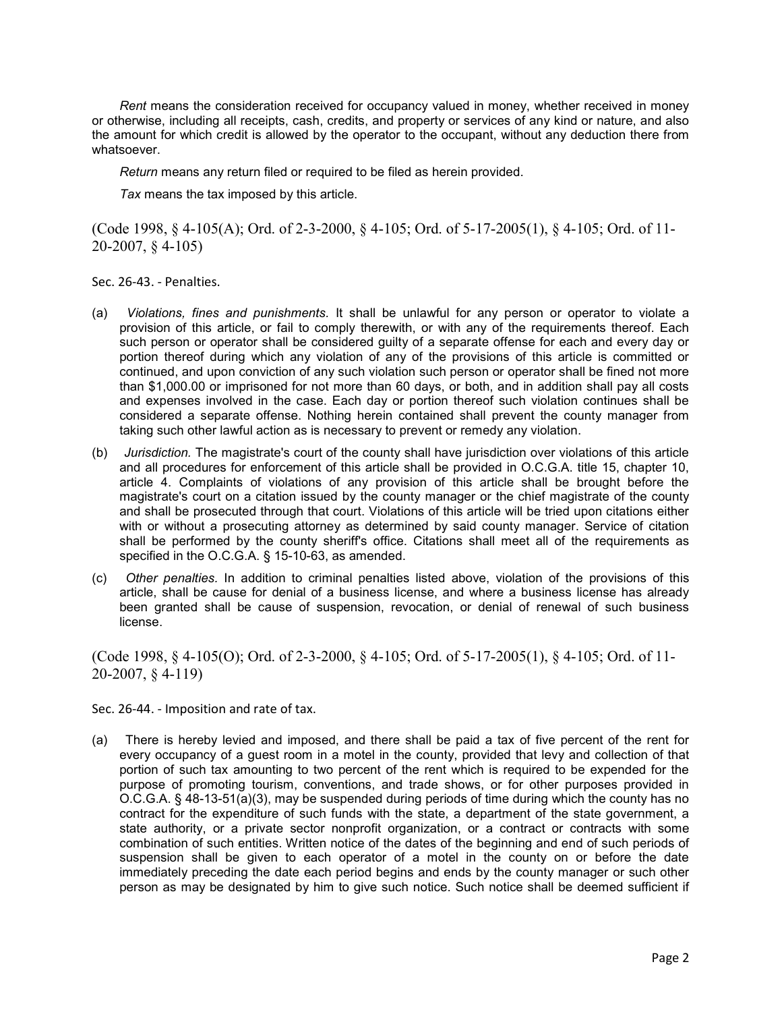Rent means the consideration received for occupancy valued in money, whether received in money or otherwise, including all receipts, cash, credits, and property or services of any kind or nature, and also the amount for which credit is allowed by the operator to the occupant, without any deduction there from whatsoever.

Return means any return filed or required to be filed as herein provided.

Tax means the tax imposed by this article.

(Code 1998, § 4-105(A); Ord. of 2-3-2000, § 4-105; Ord. of 5-17-2005(1), § 4-105; Ord. of 11- 20-2007, § 4-105)

Sec. 26-43. - Penalties.

- (a) Violations, fines and punishments. It shall be unlawful for any person or operator to violate a provision of this article, or fail to comply therewith, or with any of the requirements thereof. Each such person or operator shall be considered guilty of a separate offense for each and every day or portion thereof during which any violation of any of the provisions of this article is committed or continued, and upon conviction of any such violation such person or operator shall be fined not more than \$1,000.00 or imprisoned for not more than 60 days, or both, and in addition shall pay all costs and expenses involved in the case. Each day or portion thereof such violation continues shall be considered a separate offense. Nothing herein contained shall prevent the county manager from taking such other lawful action as is necessary to prevent or remedy any violation.
- (b) Jurisdiction. The magistrate's court of the county shall have jurisdiction over violations of this article and all procedures for enforcement of this article shall be provided in O.C.G.A. title 15, chapter 10, article 4. Complaints of violations of any provision of this article shall be brought before the magistrate's court on a citation issued by the county manager or the chief magistrate of the county and shall be prosecuted through that court. Violations of this article will be tried upon citations either with or without a prosecuting attorney as determined by said county manager. Service of citation shall be performed by the county sheriff's office. Citations shall meet all of the requirements as specified in the O.C.G.A. § 15-10-63, as amended.
- (c) Other penalties. In addition to criminal penalties listed above, violation of the provisions of this article, shall be cause for denial of a business license, and where a business license has already been granted shall be cause of suspension, revocation, or denial of renewal of such business license.

(Code 1998, § 4-105(O); Ord. of 2-3-2000, § 4-105; Ord. of 5-17-2005(1), § 4-105; Ord. of 11- 20-2007, § 4-119)

Sec. 26-44. - Imposition and rate of tax.

(a) There is hereby levied and imposed, and there shall be paid a tax of five percent of the rent for every occupancy of a guest room in a motel in the county, provided that levy and collection of that portion of such tax amounting to two percent of the rent which is required to be expended for the purpose of promoting tourism, conventions, and trade shows, or for other purposes provided in O.C.G.A. § 48-13-51(a)(3), may be suspended during periods of time during which the county has no contract for the expenditure of such funds with the state, a department of the state government, a state authority, or a private sector nonprofit organization, or a contract or contracts with some combination of such entities. Written notice of the dates of the beginning and end of such periods of suspension shall be given to each operator of a motel in the county on or before the date immediately preceding the date each period begins and ends by the county manager or such other person as may be designated by him to give such notice. Such notice shall be deemed sufficient if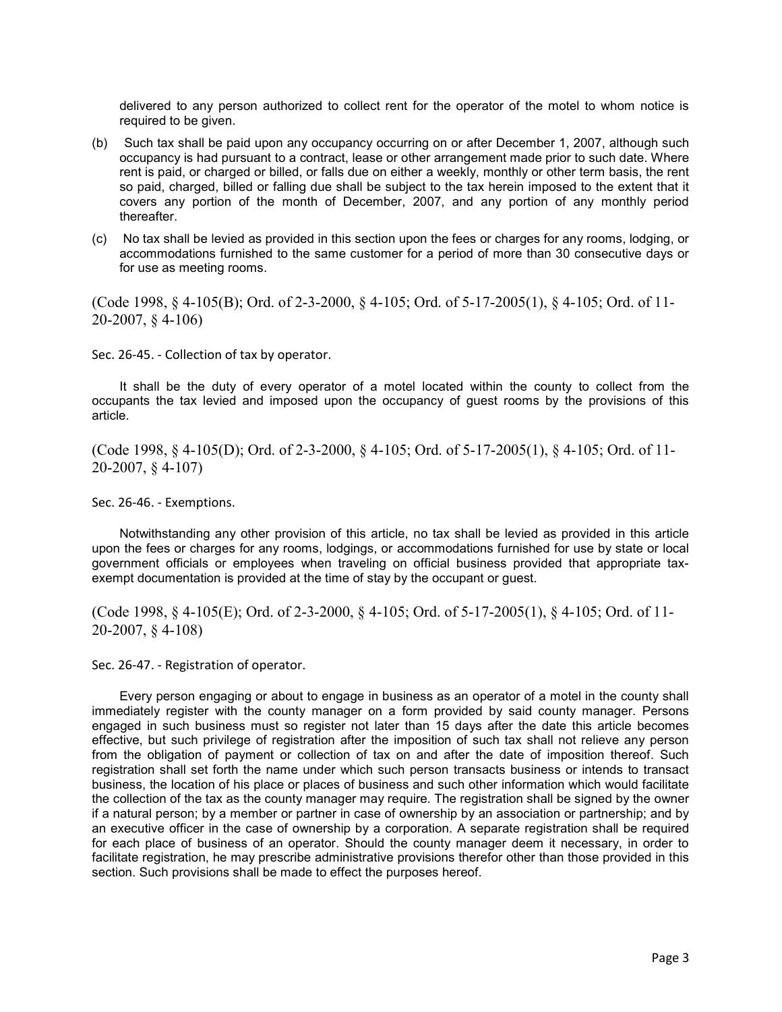delivered to any person authorized to collect rent for the operator of the motel to whom notice is required to be given.

- (b) Such tax shall be paid upon any occupancy occurring on or after December 1, 2007, although such occupancy is had pursuant to a contract, lease or other arrangement made prior to such date. Where rent is paid, or charged or billed, or falls due on either a weekly, monthly or other term basis, the rent so paid, charged, billed or falling due shall be subject to the tax herein imposed to the extent that it covers any portion of the month of December, 2007, and any portion of any monthly period thereafter.
- (c) No tax shall be levied as provided in this section upon the fees or charges for any rooms, lodging, or accommodations furnished to the same customer for a period of more than 30 consecutive days or for use as meeting rooms.

(Code 1998, § 4-105(B); Ord. of 2-3-2000, § 4-105; Ord. of 5-17-2005(1), § 4-105; Ord. of 11- 20-2007, § 4-106)

Sec. 26-45. - Collection of tax by operator.

It shall be the duty of every operator of a motel located within the county to collect from the occupants the tax levied and imposed upon the occupancy of guest rooms by the provisions of this article.

(Code 1998, § 4-105(D); Ord. of 2-3-2000, § 4-105; Ord. of 5-17-2005(1), § 4-105; Ord. of 11- 20-2007, § 4-107)

Sec. 26-46. - Exemptions.

Notwithstanding any other provision of this article, no tax shall be levied as provided in this article upon the fees or charges for any rooms, lodgings, or accommodations furnished for use by state or local government officials or employees when traveling on official business provided that appropriate taxexempt documentation is provided at the time of stay by the occupant or guest.

(Code 1998, § 4-105(E); Ord. of 2-3-2000, § 4-105; Ord. of 5-17-2005(1), § 4-105; Ord. of 11- 20-2007, § 4-108)

Sec. 26-47. - Registration of operator.

Every person engaging or about to engage in business as an operator of a motel in the county shall immediately register with the county manager on a form provided by said county manager. Persons engaged in such business must so register not later than 15 days after the date this article becomes effective, but such privilege of registration after the imposition of such tax shall not relieve any person from the obligation of payment or collection of tax on and after the date of imposition thereof. Such registration shall set forth the name under which such person transacts business or intends to transact business, the location of his place or places of business and such other information which would facilitate the collection of the tax as the county manager may require. The registration shall be signed by the owner if a natural person; by a member or partner in case of ownership by an association or partnership; and by an executive officer in the case of ownership by a corporation. A separate registration shall be required for each place of business of an operator. Should the county manager deem it necessary, in order to facilitate registration, he may prescribe administrative provisions therefor other than those provided in this section. Such provisions shall be made to effect the purposes hereof.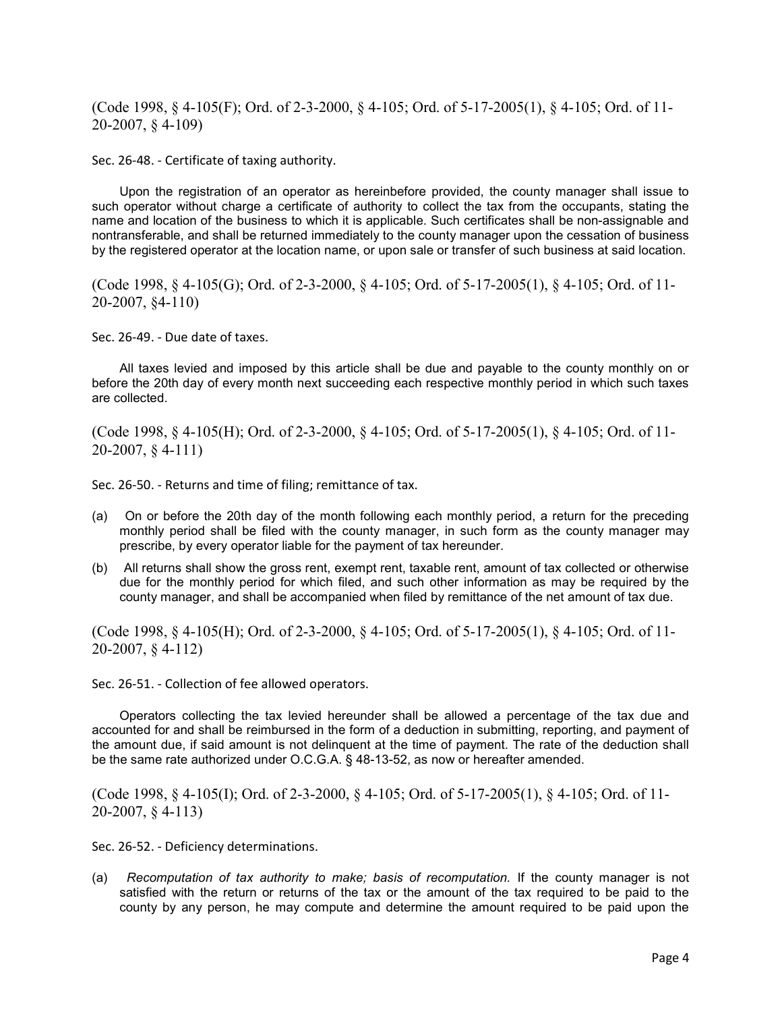(Code 1998, § 4-105(F); Ord. of 2-3-2000, § 4-105; Ord. of 5-17-2005(1), § 4-105; Ord. of 11- 20-2007, § 4-109)

Sec. 26-48. - Certificate of taxing authority.

Upon the registration of an operator as hereinbefore provided, the county manager shall issue to such operator without charge a certificate of authority to collect the tax from the occupants, stating the name and location of the business to which it is applicable. Such certificates shall be non-assignable and nontransferable, and shall be returned immediately to the county manager upon the cessation of business by the registered operator at the location name, or upon sale or transfer of such business at said location.

(Code 1998, § 4-105(G); Ord. of 2-3-2000, § 4-105; Ord. of 5-17-2005(1), § 4-105; Ord. of 11- 20-2007, §4-110)

Sec. 26-49. - Due date of taxes.

All taxes levied and imposed by this article shall be due and payable to the county monthly on or before the 20th day of every month next succeeding each respective monthly period in which such taxes are collected.

(Code 1998, § 4-105(H); Ord. of 2-3-2000, § 4-105; Ord. of 5-17-2005(1), § 4-105; Ord. of 11- 20-2007, § 4-111)

Sec. 26-50. - Returns and time of filing; remittance of tax.

- (a) On or before the 20th day of the month following each monthly period, a return for the preceding monthly period shall be filed with the county manager, in such form as the county manager may prescribe, by every operator liable for the payment of tax hereunder.
- (b) All returns shall show the gross rent, exempt rent, taxable rent, amount of tax collected or otherwise due for the monthly period for which filed, and such other information as may be required by the county manager, and shall be accompanied when filed by remittance of the net amount of tax due.

(Code 1998, § 4-105(H); Ord. of 2-3-2000, § 4-105; Ord. of 5-17-2005(1), § 4-105; Ord. of 11- 20-2007, § 4-112)

Sec. 26-51. - Collection of fee allowed operators.

Operators collecting the tax levied hereunder shall be allowed a percentage of the tax due and accounted for and shall be reimbursed in the form of a deduction in submitting, reporting, and payment of the amount due, if said amount is not delinquent at the time of payment. The rate of the deduction shall be the same rate authorized under O.C.G.A. § 48-13-52, as now or hereafter amended.

(Code 1998, § 4-105(I); Ord. of 2-3-2000, § 4-105; Ord. of 5-17-2005(1), § 4-105; Ord. of 11- 20-2007, § 4-113)

Sec. 26-52. - Deficiency determinations.

(a) Recomputation of tax authority to make; basis of recomputation. If the county manager is not satisfied with the return or returns of the tax or the amount of the tax required to be paid to the county by any person, he may compute and determine the amount required to be paid upon the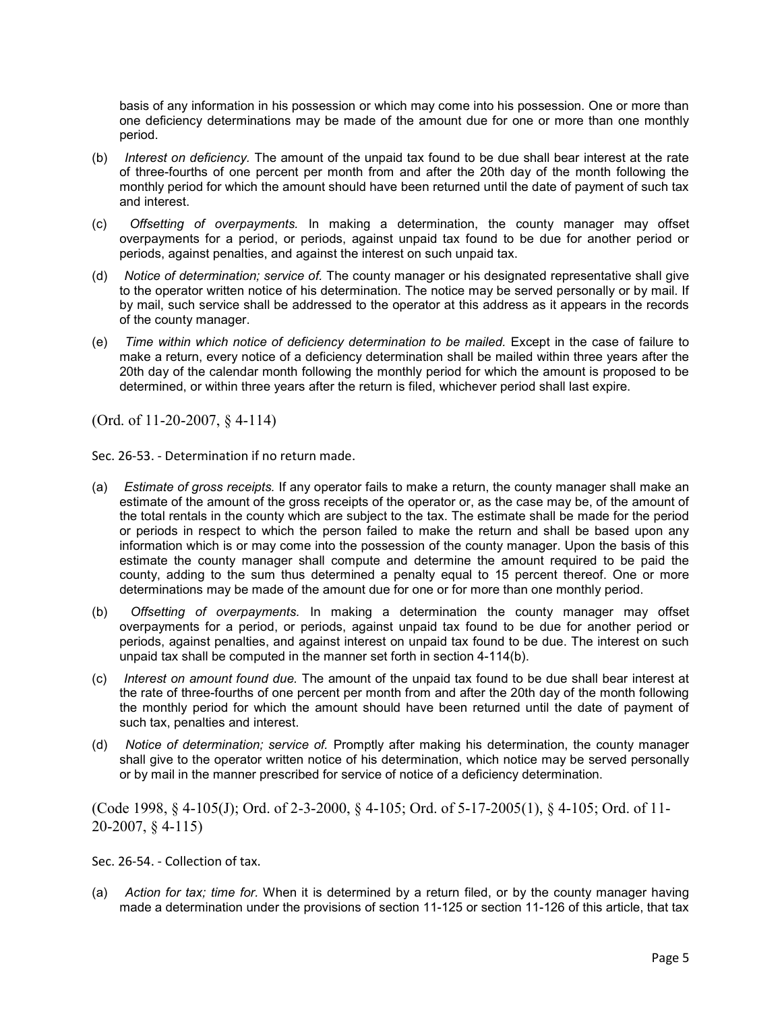basis of any information in his possession or which may come into his possession. One or more than one deficiency determinations may be made of the amount due for one or more than one monthly period.

- (b) Interest on deficiency. The amount of the unpaid tax found to be due shall bear interest at the rate of three-fourths of one percent per month from and after the 20th day of the month following the monthly period for which the amount should have been returned until the date of payment of such tax and interest.
- (c) Offsetting of overpayments. In making a determination, the county manager may offset overpayments for a period, or periods, against unpaid tax found to be due for another period or periods, against penalties, and against the interest on such unpaid tax.
- (d) Notice of determination; service of. The county manager or his designated representative shall give to the operator written notice of his determination. The notice may be served personally or by mail. If by mail, such service shall be addressed to the operator at this address as it appears in the records of the county manager.
- (e) Time within which notice of deficiency determination to be mailed. Except in the case of failure to make a return, every notice of a deficiency determination shall be mailed within three years after the 20th day of the calendar month following the monthly period for which the amount is proposed to be determined, or within three years after the return is filed, whichever period shall last expire.

(Ord. of 11-20-2007, § 4-114)

Sec. 26-53. - Determination if no return made.

- (a) Estimate of gross receipts. If any operator fails to make a return, the county manager shall make an estimate of the amount of the gross receipts of the operator or, as the case may be, of the amount of the total rentals in the county which are subject to the tax. The estimate shall be made for the period or periods in respect to which the person failed to make the return and shall be based upon any information which is or may come into the possession of the county manager. Upon the basis of this estimate the county manager shall compute and determine the amount required to be paid the county, adding to the sum thus determined a penalty equal to 15 percent thereof. One or more determinations may be made of the amount due for one or for more than one monthly period.
- (b) Offsetting of overpayments. In making a determination the county manager may offset overpayments for a period, or periods, against unpaid tax found to be due for another period or periods, against penalties, and against interest on unpaid tax found to be due. The interest on such unpaid tax shall be computed in the manner set forth in section 4-114(b).
- (c) Interest on amount found due. The amount of the unpaid tax found to be due shall bear interest at the rate of three-fourths of one percent per month from and after the 20th day of the month following the monthly period for which the amount should have been returned until the date of payment of such tax, penalties and interest.
- (d) Notice of determination; service of. Promptly after making his determination, the county manager shall give to the operator written notice of his determination, which notice may be served personally or by mail in the manner prescribed for service of notice of a deficiency determination.

(Code 1998, § 4-105(J); Ord. of 2-3-2000, § 4-105; Ord. of 5-17-2005(1), § 4-105; Ord. of 11- 20-2007, § 4-115)

Sec. 26-54. - Collection of tax.

(a) Action for tax; time for. When it is determined by a return filed, or by the county manager having made a determination under the provisions of section 11-125 or section 11-126 of this article, that tax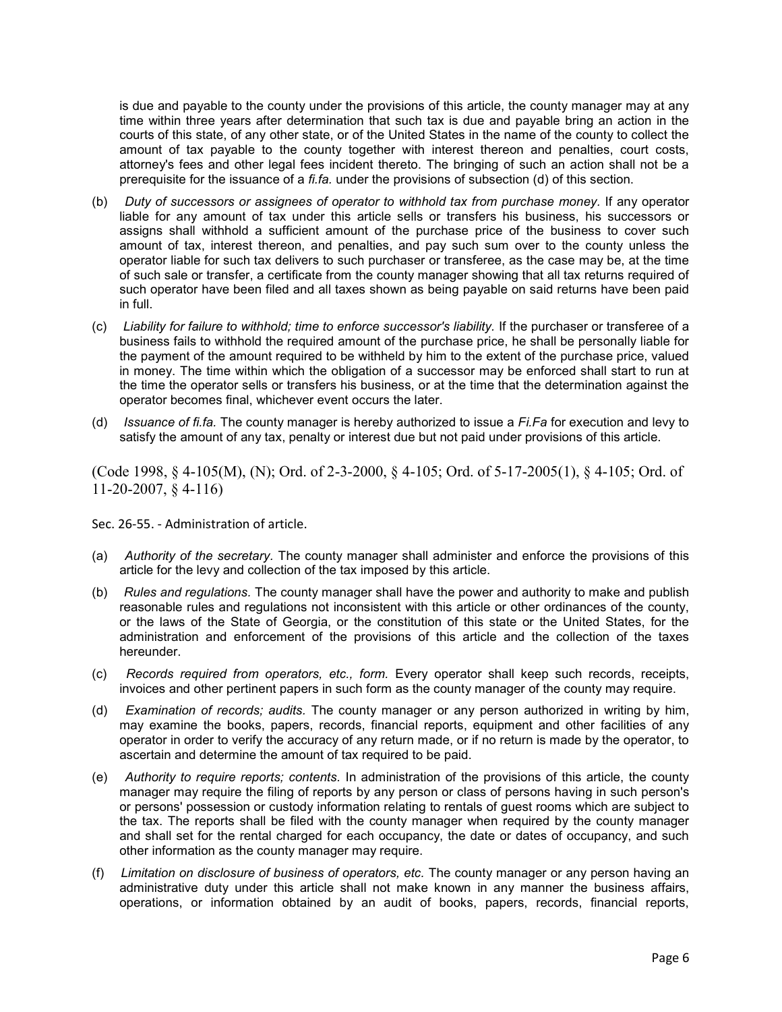is due and payable to the county under the provisions of this article, the county manager may at any time within three years after determination that such tax is due and payable bring an action in the courts of this state, of any other state, or of the United States in the name of the county to collect the amount of tax payable to the county together with interest thereon and penalties, court costs, attorney's fees and other legal fees incident thereto. The bringing of such an action shall not be a prerequisite for the issuance of a  $f_{i}$ . under the provisions of subsection (d) of this section.

- (b) Duty of successors or assignees of operator to withhold tax from purchase money. If any operator liable for any amount of tax under this article sells or transfers his business, his successors or assigns shall withhold a sufficient amount of the purchase price of the business to cover such amount of tax, interest thereon, and penalties, and pay such sum over to the county unless the operator liable for such tax delivers to such purchaser or transferee, as the case may be, at the time of such sale or transfer, a certificate from the county manager showing that all tax returns required of such operator have been filed and all taxes shown as being payable on said returns have been paid in full.
- (c) Liability for failure to withhold; time to enforce successor's liability. If the purchaser or transferee of a business fails to withhold the required amount of the purchase price, he shall be personally liable for the payment of the amount required to be withheld by him to the extent of the purchase price, valued in money. The time within which the obligation of a successor may be enforced shall start to run at the time the operator sells or transfers his business, or at the time that the determination against the operator becomes final, whichever event occurs the later.
- (d) Issuance of fi.fa. The county manager is hereby authorized to issue a  $Fi.Fa$  for execution and levy to satisfy the amount of any tax, penalty or interest due but not paid under provisions of this article.

(Code 1998, § 4-105(M), (N); Ord. of 2-3-2000, § 4-105; Ord. of 5-17-2005(1), § 4-105; Ord. of 11-20-2007, § 4-116)

Sec. 26-55. - Administration of article.

- (a) Authority of the secretary. The county manager shall administer and enforce the provisions of this article for the levy and collection of the tax imposed by this article.
- (b) Rules and regulations. The county manager shall have the power and authority to make and publish reasonable rules and regulations not inconsistent with this article or other ordinances of the county, or the laws of the State of Georgia, or the constitution of this state or the United States, for the administration and enforcement of the provisions of this article and the collection of the taxes hereunder.
- (c) Records required from operators, etc., form. Every operator shall keep such records, receipts, invoices and other pertinent papers in such form as the county manager of the county may require.
- (d) Examination of records; audits. The county manager or any person authorized in writing by him, may examine the books, papers, records, financial reports, equipment and other facilities of any operator in order to verify the accuracy of any return made, or if no return is made by the operator, to ascertain and determine the amount of tax required to be paid.
- (e) Authority to require reports; contents. In administration of the provisions of this article, the county manager may require the filing of reports by any person or class of persons having in such person's or persons' possession or custody information relating to rentals of guest rooms which are subject to the tax. The reports shall be filed with the county manager when required by the county manager and shall set for the rental charged for each occupancy, the date or dates of occupancy, and such other information as the county manager may require.
- (f) Limitation on disclosure of business of operators, etc. The county manager or any person having an administrative duty under this article shall not make known in any manner the business affairs, operations, or information obtained by an audit of books, papers, records, financial reports,